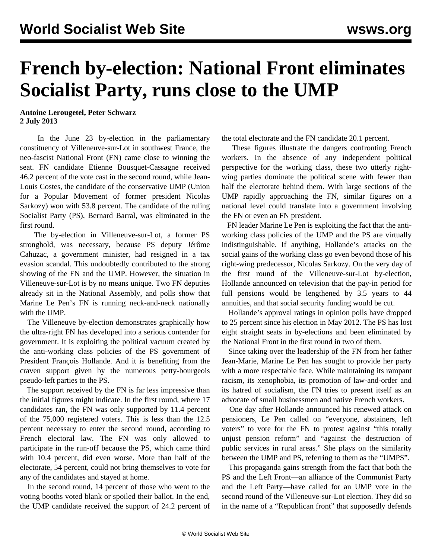## **French by-election: National Front eliminates Socialist Party, runs close to the UMP**

## **Antoine Lerougetel, Peter Schwarz 2 July 2013**

 In the June 23 by-election in the parliamentary constituency of Villeneuve-sur-Lot in southwest France, the neo-fascist National Front (FN) came close to winning the seat. FN candidate Etienne Bousquet-Cassagne received 46.2 percent of the vote cast in the second round, while Jean-Louis Costes, the candidate of the conservative UMP (Union for a Popular Movement of former president Nicolas Sarkozy) won with 53.8 percent. The candidate of the ruling Socialist Party (PS), Bernard Barral, was eliminated in the first round.

 The by-election in Villeneuve-sur-Lot, a former PS stronghold, was necessary, because PS deputy Jérôme Cahuzac, a government minister, had resigned in a tax evasion scandal. This undoubtedly contributed to the strong showing of the FN and the UMP. However, the situation in Villeneuve-sur-Lot is by no means unique. Two FN deputies already sit in the National Assembly, and polls show that Marine Le Pen's FN is running neck-and-neck nationally with the UMP.

 The Villeneuve by-election demonstrates graphically how the ultra-right FN has developed into a serious contender for government. It is exploiting the political vacuum created by the anti-working class policies of the PS government of President François Hollande. And it is benefiting from the craven support given by the numerous petty-bourgeois pseudo-left parties to the PS.

 The support received by the FN is far less impressive than the initial figures might indicate. In the first round, where 17 candidates ran, the FN was only supported by 11.4 percent of the 75,000 registered voters. This is less than the 12.5 percent necessary to enter the second round, according to French electoral law. The FN was only allowed to participate in the run-off because the PS, which came third with 10.4 percent, did even worse. More than half of the electorate, 54 percent, could not bring themselves to vote for any of the candidates and stayed at home.

 In the second round, 14 percent of those who went to the voting booths voted blank or spoiled their ballot. In the end, the UMP candidate received the support of 24.2 percent of the total electorate and the FN candidate 20.1 percent.

 These figures illustrate the dangers confronting French workers. In the absence of any independent political perspective for the working class, these two utterly rightwing parties dominate the political scene with fewer than half the electorate behind them. With large sections of the UMP rapidly approaching the FN, similar figures on a national level could translate into a government involving the FN or even an FN president.

 FN leader Marine Le Pen is exploiting the fact that the antiworking class policies of the UMP and the PS are virtually indistinguishable. If anything, Hollande's attacks on the social gains of the working class go even beyond those of his right-wing predecessor, Nicolas Sarkozy. On the very day of the first round of the Villeneuve-sur-Lot by-election, Hollande announced on television that the pay-in period for full pensions would be lengthened by 3.5 years to 44 annuities, and that social security funding would be cut.

 Hollande's approval ratings in opinion polls have dropped to 25 percent since his election in May 2012. The PS has lost eight straight seats in by-elections and been eliminated by the National Front in the first round in two of them.

 Since taking over the leadership of the FN from her father Jean-Marie, Marine Le Pen has sought to provide her party with a more respectable face. While maintaining its rampant racism, its xenophobia, its promotion of law-and-order and its hatred of socialism, the FN tries to present itself as an advocate of small businessmen and native French workers.

 One day after Hollande announced his renewed attack on pensioners, Le Pen called on "everyone, abstainers, left voters" to vote for the FN to protest against "this totally unjust pension reform" and "against the destruction of public services in rural areas." She plays on the similarity between the UMP and PS, referring to them as the "UMPS".

 This propaganda gains strength from the fact that both the PS and the Left Front—an alliance of the Communist Party and the Left Party—have called for an UMP vote in the second round of the Villeneuve-sur-Lot election. They did so in the name of a "Republican front" that supposedly defends